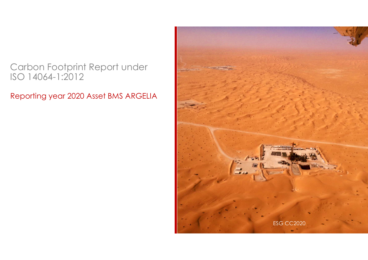## Carbon Footprint Report under ISO 14064-1:2012

Reporting year 2020 Asset BMS ARGELIA